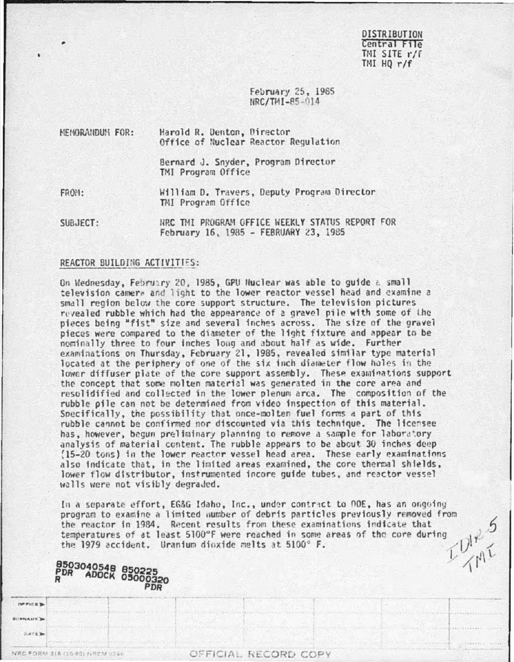**DISTRIBUTION** Central File TMI SITE r/f  $TMHQ r/f$ 

February 25, 1985 NRC/TMI-85-014

| NEMORANDUM FOR: | Harold R. Denton, Director<br>Office of Nuclear Reactor Regulation |
|-----------------|--------------------------------------------------------------------|
|                 | Bernard J. Snyder, Program Director<br>TMI Program Office          |
| FROM:           | William D. Travers, Deputy Program Director<br>TMI Program Office  |

HRC TMI PROGRAM OFFICE WEEKLY STATUS REPORT FOR SUBJECT: February 16, 1985 - FEBRUARY 23, 1985

### REACTOR BUILDING ACTIVITIES:

On Wednesday, February 20, 1985, GPU Huclear was able to guide a small television camera and light to the lower reactor vessel head and examine a small region below the core support structure. The television pictures revealed rubble which had the appearance of a gravel pile with some of the pieces being "fist" size and several inches across. The size of the gravel pieces were compared to the diameter of the light fixture and appear to be nominally three to four inches long and about half as wide. Further examinations on Thursday, February 21, 1985, revealed similar type material located at the periphery of one of the six inch diameter flow holes in the lower diffuser plate of the core support assembly. These examinations support the concept that some molten material was generated in the core area and resolidified and collected in the lower plenum arca. The composition of the rubble pile can not be determined from video inspection of this material. Specifically, the possibility that once-molten fuel forms a part of this rubble cannot be confirmed nor discounted via this technique. The licensee has, however, begun preliminary planning to remove a sample for laboratory analysis of material content. The rubble appears to be about 30 inches deep (15-20 tons) in the lower reactor vessel head area. These early examinations also indicate that, in the limited areas examined, the core thermal shields, lower flow distributor, instrumented incore guide tubes, and reactor vessel walls were not visibly degraded.

In a separate effort, EG&G Idaho, Inc., under contract to DOE, has an ongoing program to examine a limited number of debris particles previously removed from  $v_1^2$ the reactor in 1984. Recent results from these examinations indicate that temperatures of at least 5100°F were reached in some areas of the core during the 1979 accident. Uranium dioxide melts at 5100° F.

| <b>8503040548 850225</b><br>PDR ADOCK 05000320 |                                              |                                |  |  |
|------------------------------------------------|----------------------------------------------|--------------------------------|--|--|
|                                                |                                              | the set of our indice contact: |  |  |
| <b>CLATE DA</b><br><b>PERSONAL PROPERTY</b>    | R.A.I. (1984) L.A.I. (1984) C.A.E. (1985) E. |                                |  |  |
| <b>(時化 年の前期 318-110-80) fu円にM 0246</b>         | OFFICIAL RECORD COPY                         |                                |  |  |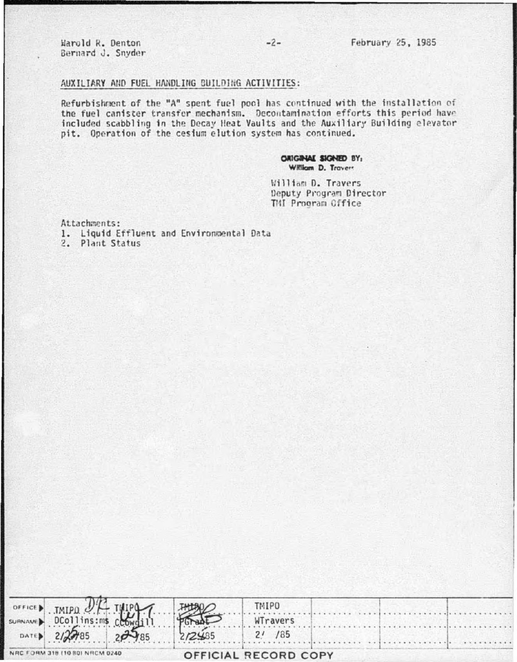#### AUXILIARY AND FUEL HANDLING BUILDING ACTIVITIES:

Refurbishment of the "A" spent fuel pool has continued with the installation of the fuel canister transfer mechanism. Decontamination efforts this period have included scabbling in the Decay Heat Vaults and the Auxiliary Building elevator pit. Operation of the cesium elution system has continued.

> ORIGINAL SIGNED BY: William D. Travers

William D. Travers Deputy Program Director TMI Program Office

Attachments:

- 1. Liquid Effluent and Environmental Data
- 2. Plant Status

| SURVANED TMIPO OF THIPP        |        | <b>TMIPO</b>         |  |  |
|--------------------------------|--------|----------------------|--|--|
|                                |        | WTravers             |  |  |
| DATED 212785 20 185            | 272485 | /85                  |  |  |
| NRC FORM 318 (10 80) NRCM 0240 |        | OFFICIAL RECORD COPY |  |  |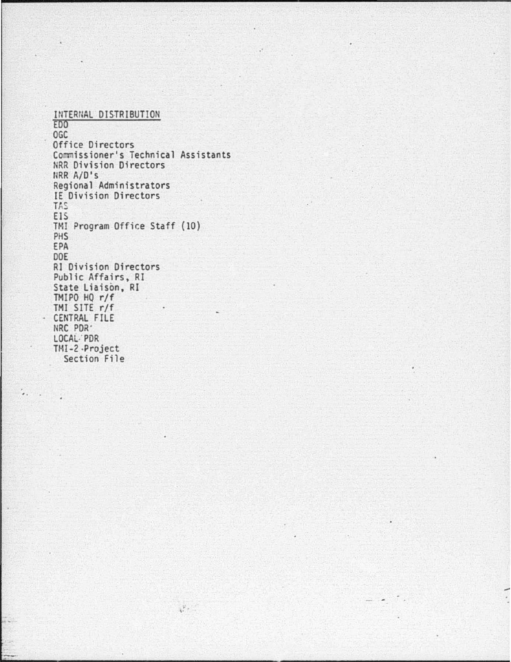INTERNAL DISTRIBUTION £00 OGC Office Directors Commissioner's Technical Assistants NRR Division Directors flRR A/D's Regional Administrators IE Division Directors TAS EIS TMI Program Office Staff (10) PHS EPA DOE RI Division Directors Public Affairs, RI State Liaison, RI TMIPO HQ r/f TMI SITE r/f CENTRAL FILE NRC POR' LOCAL.' PDR TMI-2 -Project<br>Section File

 $\frac{1}{4}$ ,  $\frac{1}{4}$ 

 $\dddot{\phantom{1}}$ 

.·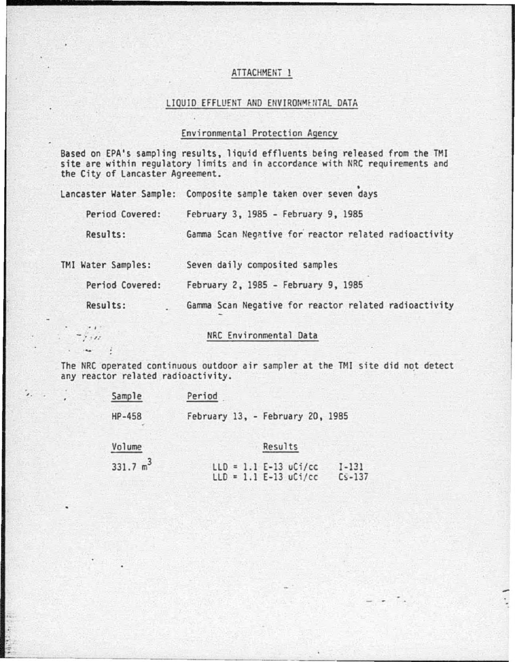## ATTACHMENT 1

### LIQUID EFFLUENT AND ENVIRONMENTAL DATA

# Environmental Protection Agency

Based on EPA's sampling results, liquid effluents being released from the TMt site are within regulatory limits and in accordance with NRC requirements and the City of Lancaster Agreement.

| Lancaster Water Sample: | Composite sample taken over seven days                |
|-------------------------|-------------------------------------------------------|
| Period Covered:         | February 3, 1985 - February 9, 1985                   |
| Results:                | Gamma Scan Negative for reactor related radioactivity |
| TMI Water Samples:      | Seven daily composited samples                        |
| Period Covered:         | February 2, 1985 - February 9, 1985                   |
| Results:                | Gamma Scan Negative for reactor related radioactivity |
| $\cdots$                |                                                       |

.· . ,, .. NRC Environmental Data

The NRC operated continuous outdoor air sampler at the TMI site did not detect any reactor related radioactivity.

| Sample      | Period                                                                        |
|-------------|-------------------------------------------------------------------------------|
| HP-458      | February 13, - February 20, 1985                                              |
| Volume      | Results                                                                       |
| 331.7 $m^3$ | $LLD = 1.1 E-13 uCi/cc$<br>$I - 131$<br>$LLD = 1.1 E-13 uCi/cc$<br>$Cs - 137$ |

'·